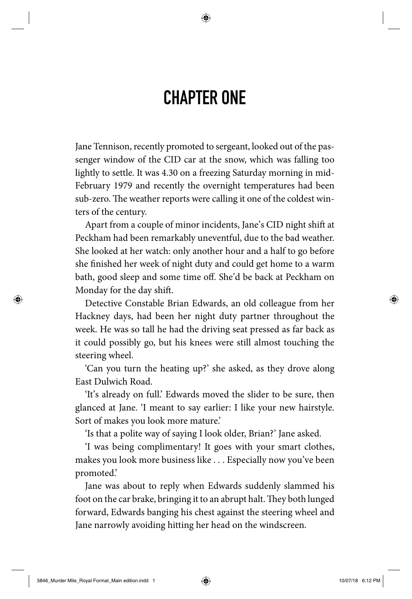## CHAPTER ONE

Jane Tennison, recently promoted to sergeant, looked out of the passenger window of the CID car at the snow, which was falling too lightly to settle. It was 4.30 on a freezing Saturday morning in mid-February 1979 and recently the overnight temperatures had been sub-zero. The weather reports were calling it one of the coldest winters of the century.

Apart from a couple of minor incidents, Jane's CID night shift at Peckham had been remarkably uneventful, due to the bad weather. She looked at her watch: only another hour and a half to go before she finished her week of night duty and could get home to a warm bath, good sleep and some time off. She'd be back at Peckham on Monday for the day shift.

Detective Constable Brian Edwards, an old colleague from her Hackney days, had been her night duty partner throughout the week. He was so tall he had the driving seat pressed as far back as it could possibly go, but his knees were still almost touching the steering wheel.

'Can you turn the heating up?' she asked, as they drove along East Dulwich Road.

'It's already on full.' Edwards moved the slider to be sure, then glanced at Jane. 'I meant to say earlier: I like your new hairstyle. Sort of makes you look more mature.'

'Is that a polite way of saying I look older, Brian?' Jane asked.

'I was being complimentary! It goes with your smart clothes, makes you look more business like . . . Especially now you've been promoted.'

Jane was about to reply when Edwards suddenly slammed his foot on the car brake, bringing it to an abrupt halt. They both lunged forward, Edwards banging his chest against the steering wheel and Jane narrowly avoiding hitting her head on the windscreen.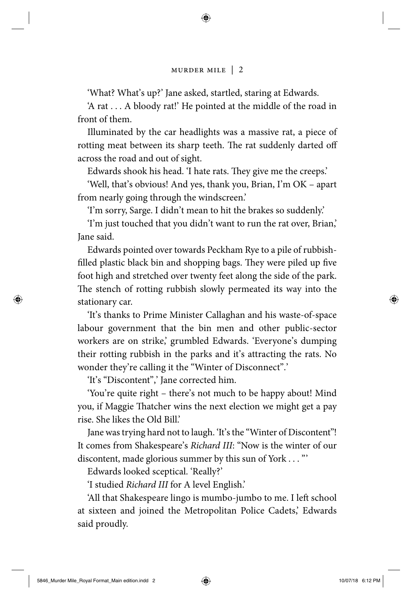'What? What's up?' Jane asked, startled, staring at Edwards.

'A rat . . . A bloody rat!' He pointed at the middle of the road in front of them.

Illuminated by the car headlights was a massive rat, a piece of rotting meat between its sharp teeth. The rat suddenly darted off across the road and out of sight.

Edwards shook his head. 'I hate rats. They give me the creeps.'

'Well, that's obvious! And yes, thank you, Brian, I'm OK – apart from nearly going through the windscreen.'

'I'm sorry, Sarge. I didn't mean to hit the brakes so suddenly.'

'I'm just touched that you didn't want to run the rat over, Brian,' Jane said.

Edwards pointed over towards Peckham Rye to a pile of rubbishfilled plastic black bin and shopping bags. They were piled up five foot high and stretched over twenty feet along the side of the park. The stench of rotting rubbish slowly permeated its way into the stationary car.

'It's thanks to Prime Minister Callaghan and his waste-of-space labour government that the bin men and other public-sector workers are on strike,' grumbled Edwards. 'Everyone's dumping their rotting rubbish in the parks and it's attracting the rats. No wonder they're calling it the "Winter of Disconnect".'

'It's "Discontent",' Jane corrected him.

'You're quite right – there's not much to be happy about! Mind you, if Maggie Thatcher wins the next election we might get a pay rise. She likes the Old Bill.'

Jane was trying hard not to laugh. 'It's the "Winter of Discontent"! It comes from Shakespeare's *Richard III*: "Now is the winter of our discontent, made glorious summer by this sun of York . . . ""

Edwards looked sceptical. 'Really?'

'I studied *Richard III* for A level English.'

'All that Shakespeare lingo is mumbo-jumbo to me. I left school at sixteen and joined the Metropolitan Police Cadets,' Edwards said proudly.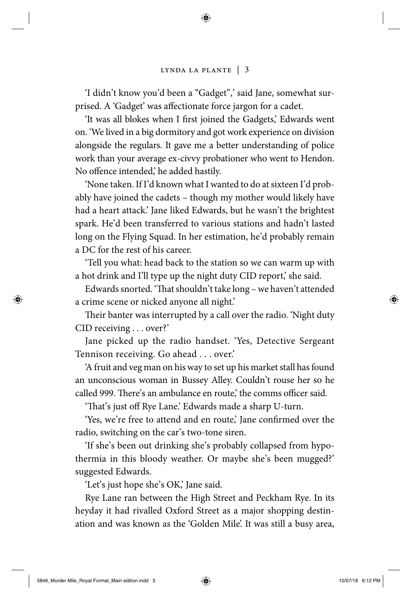'I didn't know you'd been a "Gadget",' said Jane, somewhat surprised. A 'Gadget' was affectionate force jargon for a cadet.

'It was all blokes when I first joined the Gadgets,' Edwards went on. 'We lived in a big dormitory and got work experience on division alongside the regulars. It gave me a better understanding of police work than your average ex-civvy probationer who went to Hendon. No offence intended, he added hastily.

'None taken. If I'd known what I wanted to do at sixteen I'd probably have joined the cadets – though my mother would likely have had a heart attack.' Jane liked Edwards, but he wasn't the brightest spark. He'd been transferred to various stations and hadn't lasted long on the Flying Squad. In her estimation, he'd probably remain a DC for the rest of his career.

'Tell you what: head back to the station so we can warm up with a hot drink and I'll type up the night duty CID report,' she said.

Edwards snorted. 'That shouldn't take long - we haven't attended a crime scene or nicked anyone all night.'

Their banter was interrupted by a call over the radio. 'Night duty CID receiving . . . over?'

Jane picked up the radio handset. 'Yes, Detective Sergeant Tennison receiving. Go ahead . . . over.'

'A fruit and veg man on his way to set up his market stall has found an unconscious woman in Bussey Alley. Couldn't rouse her so he called 999. There's an ambulance en route, the comms officer said.

'That's just off Rye Lane.' Edwards made a sharp U-turn.

'Yes, we're free to attend and en route,' Jane confirmed over the radio, switching on the car's two-tone siren.

'If she's been out drinking she's probably collapsed from hypothermia in this bloody weather. Or maybe she's been mugged?' suggested Edwards.

'Let's just hope she's OK,' Jane said.

Rye Lane ran between the High Street and Peckham Rye. In its heyday it had rivalled Oxford Street as a major shopping destination and was known as the 'Golden Mile'. It was still a busy area,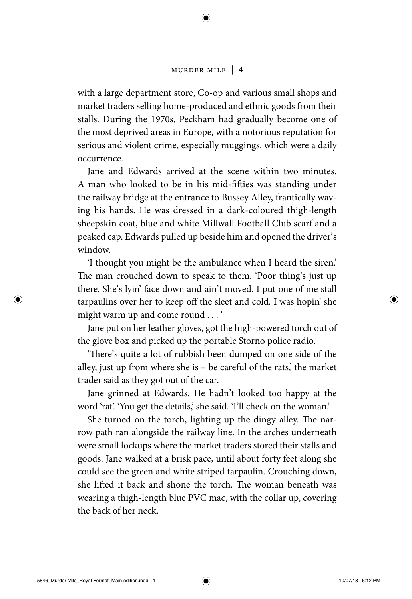with a large department store, Co-op and various small shops and market traders selling home-produced and ethnic goods from their stalls. During the 1970s, Peckham had gradually become one of the most deprived areas in Europe, with a notorious reputation for serious and violent crime, especially muggings, which were a daily occurrence.

Jane and Edwards arrived at the scene within two minutes. A man who looked to be in his mid-fifties was standing under the railway bridge at the entrance to Bussey Alley, frantically waving his hands. He was dressed in a dark-coloured thigh-length sheepskin coat, blue and white Millwall Football Club scarf and a peaked cap. Edwards pulled up beside him and opened the driver's window.

'I thought you might be the ambulance when I heard the siren.' The man crouched down to speak to them. 'Poor thing's just up there. She's lyin' face down and ain't moved. I put one of me stall tarpaulins over her to keep off the sleet and cold. I was hopin' she might warm up and come round . . . '

Jane put on her leather gloves, got the high-powered torch out of the glove box and picked up the portable Storno police radio.

'There's quite a lot of rubbish been dumped on one side of the alley, just up from where she is – be careful of the rats,' the market trader said as they got out of the car.

Jane grinned at Edwards. He hadn't looked too happy at the word 'rat'. 'You get the details,' she said. 'I'll check on the woman.'

She turned on the torch, lighting up the dingy alley. The narrow path ran alongside the railway line. In the arches underneath were small lockups where the market traders stored their stalls and goods. Jane walked at a brisk pace, until about forty feet along she could see the green and white striped tarpaulin. Crouching down, she lifted it back and shone the torch. The woman beneath was wearing a thigh-length blue PVC mac, with the collar up, covering the back of her neck.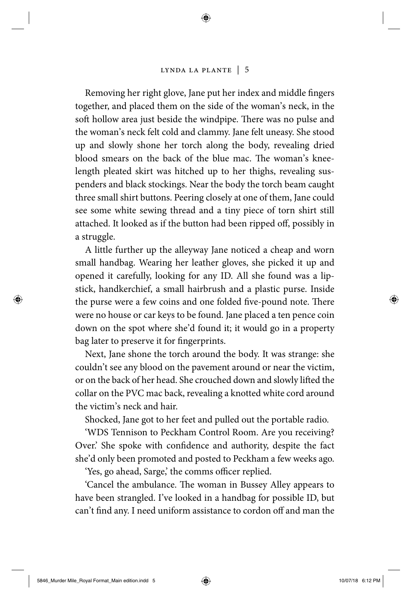Removing her right glove, Jane put her index and middle fingers together, and placed them on the side of the woman's neck, in the soft hollow area just beside the windpipe. There was no pulse and the woman's neck felt cold and clammy. Jane felt uneasy. She stood up and slowly shone her torch along the body, revealing dried blood smears on the back of the blue mac. The woman's kneelength pleated skirt was hitched up to her thighs, revealing suspenders and black stockings. Near the body the torch beam caught three small shirt buttons. Peering closely at one of them, Jane could see some white sewing thread and a tiny piece of torn shirt still attached. It looked as if the button had been ripped off, possibly in a struggle.

A little further up the alleyway Jane noticed a cheap and worn small handbag. Wearing her leather gloves, she picked it up and opened it carefully, looking for any ID. All she found was a lipstick, handkerchief, a small hairbrush and a plastic purse. Inside the purse were a few coins and one folded five-pound note. There were no house or car keys to be found. Jane placed a ten pence coin down on the spot where she'd found it; it would go in a property bag later to preserve it for fingerprints.

Next, Jane shone the torch around the body. It was strange: she couldn't see any blood on the pavement around or near the victim, or on the back of her head. She crouched down and slowly lifted the collar on the PVC mac back, revealing a knotted white cord around the victim's neck and hair.

Shocked, Jane got to her feet and pulled out the portable radio.

'WDS Tennison to Peckham Control Room. Are you receiving? Over.' She spoke with confidence and authority, despite the fact she'd only been promoted and posted to Peckham a few weeks ago.

'Yes, go ahead, Sarge,' the comms officer replied.

'Cancel the ambulance. The woman in Bussey Alley appears to have been strangled. I've looked in a handbag for possible ID, but can't find any. I need uniform assistance to cordon off and man the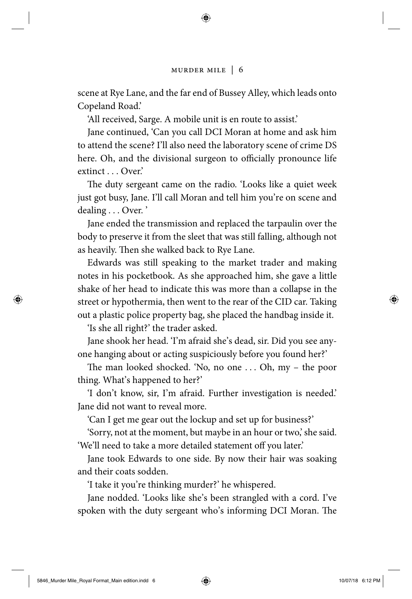scene at Rye Lane, and the far end of Bussey Alley, which leads onto Copeland Road.'

'All received, Sarge. A mobile unit is en route to assist.'

Jane continued, 'Can you call DCI Moran at home and ask him to attend the scene? I'll also need the laboratory scene of crime DS here. Oh, and the divisional surgeon to officially pronounce life extinct . . . Over.'

The duty sergeant came on the radio. 'Looks like a quiet week just got busy, Jane. I'll call Moran and tell him you're on scene and dealing . . . Over. '

Jane ended the transmission and replaced the tarpaulin over the body to preserve it from the sleet that was still falling, although not as heavily. Then she walked back to Rye Lane.

Edwards was still speaking to the market trader and making notes in his pocketbook. As she approached him, she gave a little shake of her head to indicate this was more than a collapse in the street or hypothermia, then went to the rear of the CID car. Taking out a plastic police property bag, she placed the handbag inside it.

'Is she all right?' the trader asked.

Jane shook her head. 'I'm afraid she's dead, sir. Did you see anyone hanging about or acting suspiciously before you found her?'

The man looked shocked. 'No, no one  $\dots$  Oh, my – the poor thing. What's happened to her?'

'I don't know, sir, I'm afraid. Further investigation is needed.' Jane did not want to reveal more.

'Can I get me gear out the lockup and set up for business?'

'Sorry, not at the moment, but maybe in an hour or two,' she said. 'We'll need to take a more detailed statement off you later.'

Jane took Edwards to one side. By now their hair was soaking and their coats sodden.

'I take it you're thinking murder?' he whispered.

Jane nodded. 'Looks like she's been strangled with a cord. I've spoken with the duty sergeant who's informing DCI Moran. The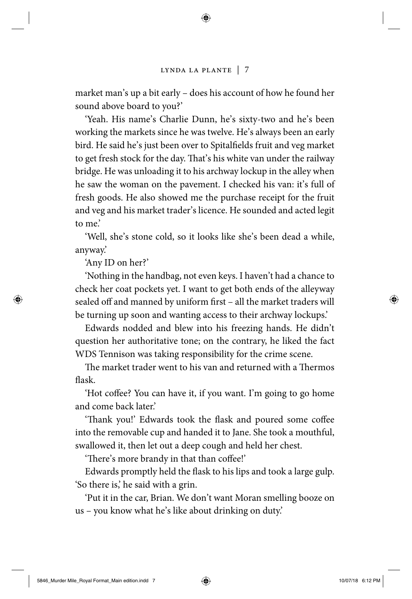market man's up a bit early – does his account of how he found her sound above board to you?'

'Yeah. His name's Charlie Dunn, he's sixty-two and he's been working the markets since he was twelve. He's always been an early bird. He said he's just been over to Spitalfields fruit and veg market to get fresh stock for the day. That's his white van under the railway bridge. He was unloading it to his archway lockup in the alley when he saw the woman on the pavement. I checked his van: it's full of fresh goods. He also showed me the purchase receipt for the fruit and veg and his market trader's licence. He sounded and acted legit to me.'

'Well, she's stone cold, so it looks like she's been dead a while, anyway.'

'Any ID on her?'

'Nothing in the handbag, not even keys. I haven't had a chance to check her coat pockets yet. I want to get both ends of the alleyway sealed off and manned by uniform first - all the market traders will be turning up soon and wanting access to their archway lockups.'

Edwards nodded and blew into his freezing hands. He didn't question her authoritative tone; on the contrary, he liked the fact WDS Tennison was taking responsibility for the crime scene.

The market trader went to his van and returned with a Thermos flask.

'Hot coffee? You can have it, if you want. I'm going to go home and come back later.'

'Thank you!' Edwards took the flask and poured some coffee into the removable cup and handed it to Jane. She took a mouthful, swallowed it, then let out a deep cough and held her chest.

'There's more brandy in that than coffee!'

Edwards promptly held the flask to his lips and took a large gulp. 'So there is,' he said with a grin.

'Put it in the car, Brian. We don't want Moran smelling booze on us – you know what he's like about drinking on duty.'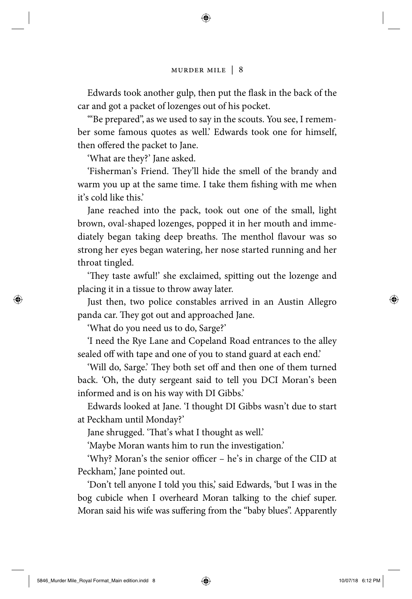Edwards took another gulp, then put the flask in the back of the car and got a packet of lozenges out of his pocket.

'"Be prepared", as we used to say in the scouts. You see, I remember some famous quotes as well.' Edwards took one for himself, then offered the packet to Jane.

'What are they?' Jane asked.

'Fisherman's Friend. They'll hide the smell of the brandy and warm you up at the same time. I take them fishing with me when it's cold like this.'

Jane reached into the pack, took out one of the small, light brown, oval-shaped lozenges, popped it in her mouth and immediately began taking deep breaths. The menthol flavour was so strong her eyes began watering, her nose started running and her throat tingled.

'They taste awful!' she exclaimed, spitting out the lozenge and placing it in a tissue to throw away later.

Just then, two police constables arrived in an Austin Allegro panda car. They got out and approached Jane.

'What do you need us to do, Sarge?'

'I need the Rye Lane and Copeland Road entrances to the alley sealed off with tape and one of you to stand guard at each end.'

'Will do, Sarge.' They both set off and then one of them turned back. 'Oh, the duty sergeant said to tell you DCI Moran's been informed and is on his way with DI Gibbs.'

Edwards looked at Jane. 'I thought DI Gibbs wasn't due to start at Peckham until Monday?'

Jane shrugged. 'That's what I thought as well.'

'Maybe Moran wants him to run the investigation.'

'Why? Moran's the senior officer – he's in charge of the CID at Peckham,' Jane pointed out.

'Don't tell anyone I told you this,' said Edwards, 'but I was in the bog cubicle when I overheard Moran talking to the chief super. Moran said his wife was suffering from the "baby blues". Apparently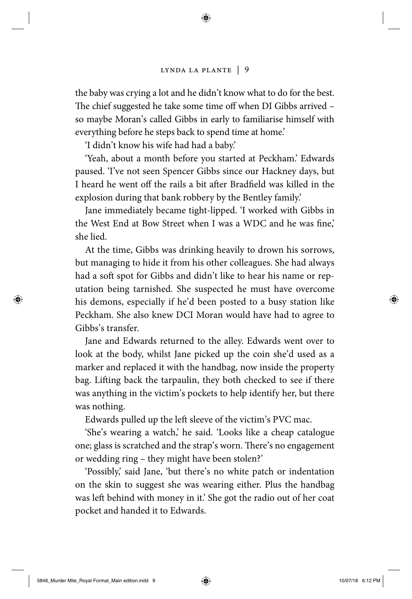the baby was crying a lot and he didn't know what to do for the best. The chief suggested he take some time off when DI Gibbs arrived so maybe Moran's called Gibbs in early to familiarise himself with everything before he steps back to spend time at home.'

'I didn't know his wife had had a baby.'

'Yeah, about a month before you started at Peckham.' Edwards paused. 'I've not seen Spencer Gibbs since our Hackney days, but I heard he went off the rails a bit after Bradfield was killed in the explosion during that bank robbery by the Bentley family.'

Jane immediately became tight-lipped. 'I worked with Gibbs in the West End at Bow Street when I was a WDC and he was fine, she lied.

At the time, Gibbs was drinking heavily to drown his sorrows, but managing to hide it from his other colleagues. She had always had a soft spot for Gibbs and didn't like to hear his name or reputation being tarnished. She suspected he must have overcome his demons, especially if he'd been posted to a busy station like Peckham. She also knew DCI Moran would have had to agree to Gibbs's transfer.

Jane and Edwards returned to the alley. Edwards went over to look at the body, whilst Jane picked up the coin she'd used as a marker and replaced it with the handbag, now inside the property bag. Lifting back the tarpaulin, they both checked to see if there was anything in the victim's pockets to help identify her, but there was nothing.

Edwards pulled up the left sleeve of the victim's PVC mac.

'She's wearing a watch,' he said. 'Looks like a cheap catalogue one; glass is scratched and the strap's worn. There's no engagement or wedding ring – they might have been stolen?'

'Possibly,' said Jane, 'but there's no white patch or indentation on the skin to suggest she was wearing either. Plus the handbag was left behind with money in it.' She got the radio out of her coat pocket and handed it to Edwards.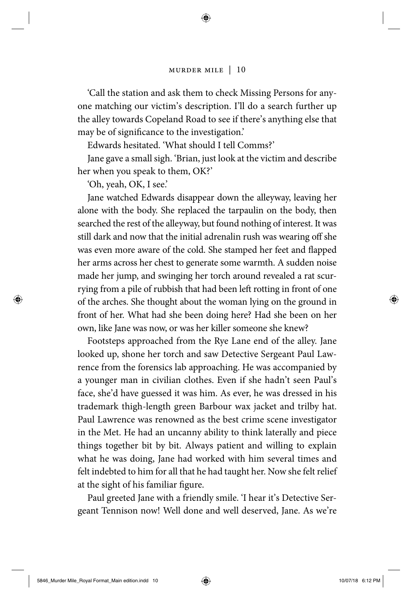'Call the station and ask them to check Missing Persons for anyone matching our victim's description. I'll do a search further up the alley towards Copeland Road to see if there's anything else that may be of significance to the investigation.'

Edwards hesitated. 'What should I tell Comms?'

Jane gave a small sigh. 'Brian, just look at the victim and describe her when you speak to them, OK?'

'Oh, yeah, OK, I see.'

Jane watched Edwards disappear down the alleyway, leaving her alone with the body. She replaced the tarpaulin on the body, then searched the rest of the alleyway, but found nothing of interest. It was still dark and now that the initial adrenalin rush was wearing off she was even more aware of the cold. She stamped her feet and flapped her arms across her chest to generate some warmth. A sudden noise made her jump, and swinging her torch around revealed a rat scurrying from a pile of rubbish that had been left rotting in front of one of the arches. She thought about the woman lying on the ground in front of her. What had she been doing here? Had she been on her own, like Jane was now, or was her killer someone she knew?

Footsteps approached from the Rye Lane end of the alley. Jane looked up, shone her torch and saw Detective Sergeant Paul Lawrence from the forensics lab approaching. He was accompanied by a younger man in civilian clothes. Even if she hadn't seen Paul's face, she'd have guessed it was him. As ever, he was dressed in his trademark thigh-length green Barbour wax jacket and trilby hat. Paul Lawrence was renowned as the best crime scene investigator in the Met. He had an uncanny ability to think laterally and piece things together bit by bit. Always patient and willing to explain what he was doing, Jane had worked with him several times and felt indebted to him for all that he had taught her. Now she felt relief at the sight of his familiar figure.

Paul greeted Jane with a friendly smile. 'I hear it's Detective Sergeant Tennison now! Well done and well deserved, Jane. As we're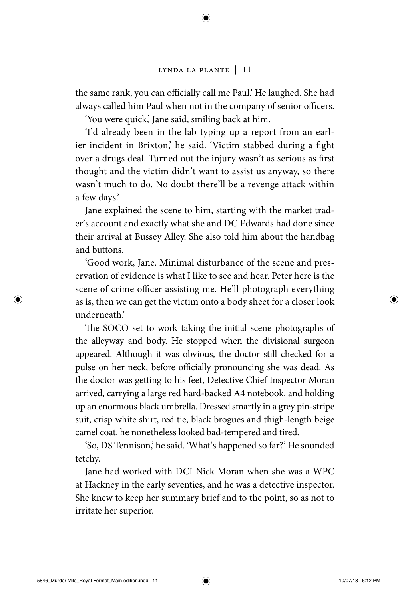the same rank, you can officially call me Paul.' He laughed. She had always called him Paul when not in the company of senior officers.

'You were quick,' Jane said, smiling back at him.

'I'd already been in the lab typing up a report from an earlier incident in Brixton,' he said. 'Victim stabbed during a fight over a drugs deal. Turned out the injury wasn't as serious as first thought and the victim didn't want to assist us anyway, so there wasn't much to do. No doubt there'll be a revenge attack within a few days.'

Jane explained the scene to him, starting with the market trader's account and exactly what she and DC Edwards had done since their arrival at Bussey Alley. She also told him about the handbag and buttons.

'Good work, Jane. Minimal disturbance of the scene and preservation of evidence is what I like to see and hear. Peter here is the scene of crime officer assisting me. He'll photograph everything as is, then we can get the victim onto a body sheet for a closer look underneath.'

The SOCO set to work taking the initial scene photographs of the alleyway and body. He stopped when the divisional surgeon appeared. Although it was obvious, the doctor still checked for a pulse on her neck, before officially pronouncing she was dead. As the doctor was getting to his feet, Detective Chief Inspector Moran arrived, carrying a large red hard-backed A4 notebook, and holding up an enormous black umbrella. Dressed smartly in a grey pin-stripe suit, crisp white shirt, red tie, black brogues and thigh-length beige camel coat, he nonetheless looked bad-tempered and tired.

'So, DS Tennison,' he said. 'What's happened so far?' He sounded tetchy.

Jane had worked with DCI Nick Moran when she was a WPC at Hackney in the early seventies, and he was a detective inspector. She knew to keep her summary brief and to the point, so as not to irritate her superior.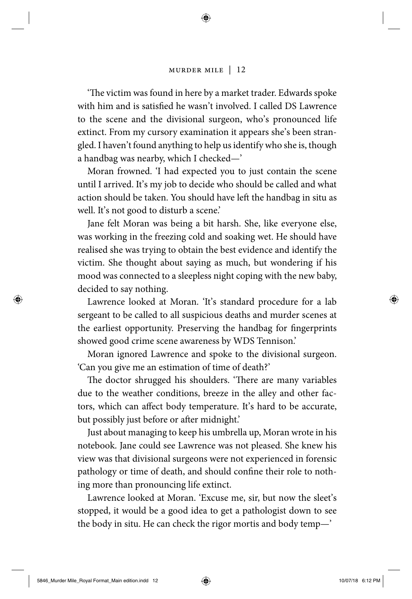'The victim was found in here by a market trader. Edwards spoke with him and is satisfied he wasn't involved. I called DS Lawrence to the scene and the divisional surgeon, who's pronounced life extinct. From my cursory examination it appears she's been strangled. I haven't found anything to help us identify who she is, though a handbag was nearby, which I checked—'

Moran frowned. 'I had expected you to just contain the scene until I arrived. It's my job to decide who should be called and what action should be taken. You should have left the handbag in situ as well. It's not good to disturb a scene.'

Jane felt Moran was being a bit harsh. She, like everyone else, was working in the freezing cold and soaking wet. He should have realised she was trying to obtain the best evidence and identify the victim. She thought about saying as much, but wondering if his mood was connected to a sleepless night coping with the new baby, decided to say nothing.

Lawrence looked at Moran. 'It's standard procedure for a lab sergeant to be called to all suspicious deaths and murder scenes at the earliest opportunity. Preserving the handbag for fingerprints showed good crime scene awareness by WDS Tennison.'

Moran ignored Lawrence and spoke to the divisional surgeon. 'Can you give me an estimation of time of death?'

The doctor shrugged his shoulders. 'There are many variables due to the weather conditions, breeze in the alley and other factors, which can affect body temperature. It's hard to be accurate, but possibly just before or after midnight.'

Just about managing to keep his umbrella up, Moran wrote in his notebook. Jane could see Lawrence was not pleased. She knew his view was that divisional surgeons were not experienced in forensic pathology or time of death, and should confine their role to nothing more than pronouncing life extinct.

Lawrence looked at Moran. 'Excuse me, sir, but now the sleet's stopped, it would be a good idea to get a pathologist down to see the body in situ. He can check the rigor mortis and body temp—'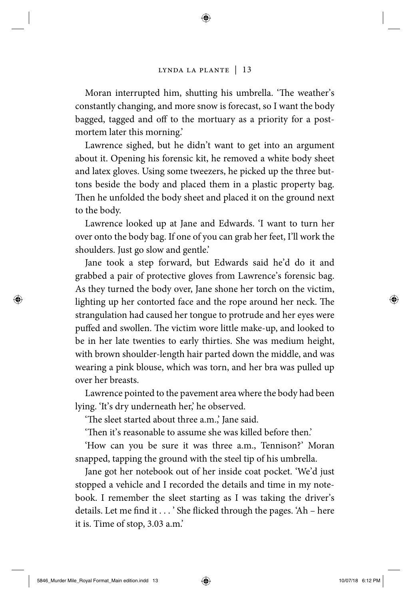Moran interrupted him, shutting his umbrella. 'The weather's constantly changing, and more snow is forecast, so I want the body bagged, tagged and off to the mortuary as a priority for a postmortem later this morning.'

Lawrence sighed, but he didn't want to get into an argument about it. Opening his forensic kit, he removed a white body sheet and latex gloves. Using some tweezers, he picked up the three buttons beside the body and placed them in a plastic property bag. Then he unfolded the body sheet and placed it on the ground next to the body.

Lawrence looked up at Jane and Edwards. 'I want to turn her over onto the body bag. If one of you can grab her feet, I'll work the shoulders. Just go slow and gentle.'

Jane took a step forward, but Edwards said he'd do it and grabbed a pair of protective gloves from Lawrence's forensic bag. As they turned the body over, Jane shone her torch on the victim, lighting up her contorted face and the rope around her neck. The strangulation had caused her tongue to protrude and her eyes were puffed and swollen. The victim wore little make-up, and looked to be in her late twenties to early thirties. She was medium height, with brown shoulder-length hair parted down the middle, and was wearing a pink blouse, which was torn, and her bra was pulled up over her breasts.

Lawrence pointed to the pavement area where the body had been lying. 'It's dry underneath her,' he observed.

'The sleet started about three a.m.', Jane said.

'Then it's reasonable to assume she was killed before then.'

'How can you be sure it was three a.m., Tennison?' Moran snapped, tapping the ground with the steel tip of his umbrella.

Jane got her notebook out of her inside coat pocket. 'We'd just stopped a vehicle and I recorded the details and time in my notebook. I remember the sleet starting as I was taking the driver's details. Let me find it  $\ldots$  ' She flicked through the pages. 'Ah – here it is. Time of stop, 3.03 a.m.'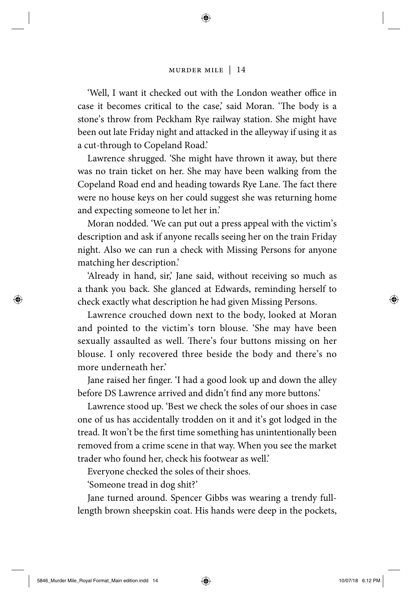'Well, I want it checked out with the London weather office in case it becomes critical to the case,' said Moran. 'The body is a stone's throw from Peckham Rye railway station. She might have been out late Friday night and attacked in the alleyway if using it as a cut-through to Copeland Road.'

Lawrence shrugged. 'She might have thrown it away, but there was no train ticket on her. She may have been walking from the Copeland Road end and heading towards Rye Lane. The fact there were no house keys on her could suggest she was returning home and expecting someone to let her in.'

Moran nodded. 'We can put out a press appeal with the victim's description and ask if anyone recalls seeing her on the train Friday night. Also we can run a check with Missing Persons for anyone matching her description.'

'Already in hand, sir,' Jane said, without receiving so much as a thank you back. She glanced at Edwards, reminding herself to check exactly what description he had given Missing Persons.

Lawrence crouched down next to the body, looked at Moran and pointed to the victim's torn blouse. 'She may have been sexually assaulted as well. There's four buttons missing on her blouse. I only recovered three beside the body and there's no more underneath her.'

Jane raised her finger. 'I had a good look up and down the alley before DS Lawrence arrived and didn't find any more buttons.'

Lawrence stood up. 'Best we check the soles of our shoes in case one of us has accidentally trodden on it and it's got lodged in the tread. It won't be the first time something has unintentionally been removed from a crime scene in that way. When you see the market trader who found her, check his footwear as well.'

Everyone checked the soles of their shoes.

'Someone tread in dog shit?'

Jane turned around. Spencer Gibbs was wearing a trendy fulllength brown sheepskin coat. His hands were deep in the pockets,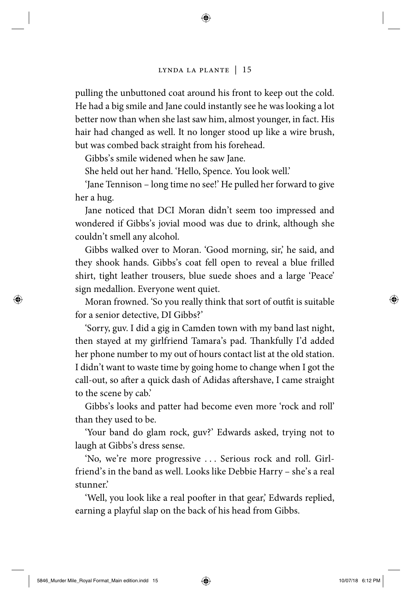pulling the unbuttoned coat around his front to keep out the cold. He had a big smile and Jane could instantly see he was looking a lot better now than when she last saw him, almost younger, in fact. His hair had changed as well. It no longer stood up like a wire brush, but was combed back straight from his forehead.

Gibbs's smile widened when he saw Jane.

She held out her hand. 'Hello, Spence. You look well.'

'Jane Tennison – long time no see!' He pulled her forward to give her a hug.

Jane noticed that DCI Moran didn't seem too impressed and wondered if Gibbs's jovial mood was due to drink, although she couldn't smell any alcohol.

Gibbs walked over to Moran. 'Good morning, sir,' he said, and they shook hands. Gibbs's coat fell open to reveal a blue frilled shirt, tight leather trousers, blue suede shoes and a large 'Peace' sign medallion. Everyone went quiet.

Moran frowned. 'So you really think that sort of outfit is suitable for a senior detective, DI Gibbs?'

'Sorry, guv. I did a gig in Camden town with my band last night, then stayed at my girlfriend Tamara's pad. Thankfully I'd added her phone number to my out of hours contact list at the old station. I didn't want to waste time by going home to change when I got the call-out, so after a quick dash of Adidas aftershave, I came straight to the scene by cab.'

Gibbs's looks and patter had become even more 'rock and roll' than they used to be.

'Your band do glam rock, guv?' Edwards asked, trying not to laugh at Gibbs's dress sense.

'No, we're more progressive . . . Serious rock and roll. Girlfriend's in the band as well. Looks like Debbie Harry – she's a real stunner.'

'Well, you look like a real poofter in that gear,' Edwards replied, earning a playful slap on the back of his head from Gibbs.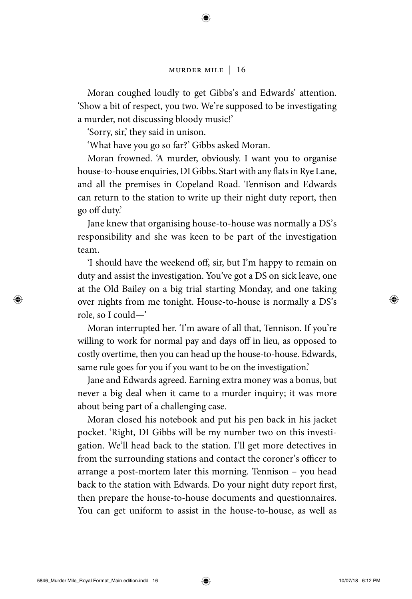Moran coughed loudly to get Gibbs's and Edwards' attention. 'Show a bit of respect, you two. We're supposed to be investigating a murder, not discussing bloody music!'

'Sorry, sir,' they said in unison.

'What have you go so far?' Gibbs asked Moran.

Moran frowned. 'A murder, obviously. I want you to organise house-to-house enquiries, DI Gibbs. Start with any flats in Rye Lane, and all the premises in Copeland Road. Tennison and Edwards can return to the station to write up their night duty report, then go off duty.'

Jane knew that organising house-to-house was normally a DS's responsibility and she was keen to be part of the investigation team.

'I should have the weekend off, sir, but I'm happy to remain on duty and assist the investigation. You've got a DS on sick leave, one at the Old Bailey on a big trial starting Monday, and one taking over nights from me tonight. House-to-house is normally a DS's role, so I could—'

Moran interrupted her. 'I'm aware of all that, Tennison. If you're willing to work for normal pay and days off in lieu, as opposed to costly overtime, then you can head up the house-to-house. Edwards, same rule goes for you if you want to be on the investigation.'

Jane and Edwards agreed. Earning extra money was a bonus, but never a big deal when it came to a murder inquiry; it was more about being part of a challenging case.

Moran closed his notebook and put his pen back in his jacket pocket. 'Right, DI Gibbs will be my number two on this investigation. We'll head back to the station. I'll get more detectives in from the surrounding stations and contact the coroner's officer to arrange a post-mortem later this morning. Tennison – you head back to the station with Edwards. Do your night duty report first, then prepare the house-to-house documents and questionnaires. You can get uniform to assist in the house-to-house, as well as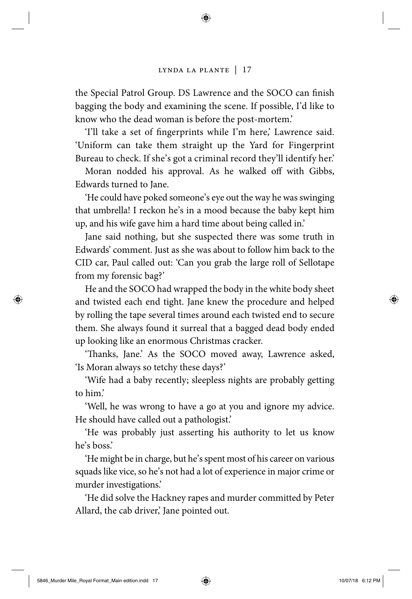the Special Patrol Group. DS Lawrence and the SOCO can finish bagging the body and examining the scene. If possible, I'd like to know who the dead woman is before the post-mortem.'

'I'll take a set of fingerprints while I'm here,' Lawrence said. 'Uniform can take them straight up the Yard for Fingerprint Bureau to check. If she's got a criminal record they'll identify her.'

Moran nodded his approval. As he walked off with Gibbs, Edwards turned to Jane.

'He could have poked someone's eye out the way he was swinging that umbrella! I reckon he's in a mood because the baby kept him up, and his wife gave him a hard time about being called in.'

Jane said nothing, but she suspected there was some truth in Edwards' comment. Just as she was about to follow him back to the CID car, Paul called out: 'Can you grab the large roll of Sellotape from my forensic bag?'

He and the SOCO had wrapped the body in the white body sheet and twisted each end tight. Jane knew the procedure and helped by rolling the tape several times around each twisted end to secure them. She always found it surreal that a bagged dead body ended up looking like an enormous Christmas cracker.

'Thanks, Jane.' As the SOCO moved away, Lawrence asked, 'Is Moran always so tetchy these days?'

'Wife had a baby recently; sleepless nights are probably getting to him.'

'Well, he was wrong to have a go at you and ignore my advice. He should have called out a pathologist.'

'He was probably just asserting his authority to let us know he's boss.'

'He might be in charge, but he's spent most of his career on various squads like vice, so he's not had a lot of experience in major crime or murder investigations.'

'He did solve the Hackney rapes and murder committed by Peter Allard, the cab driver,' Jane pointed out.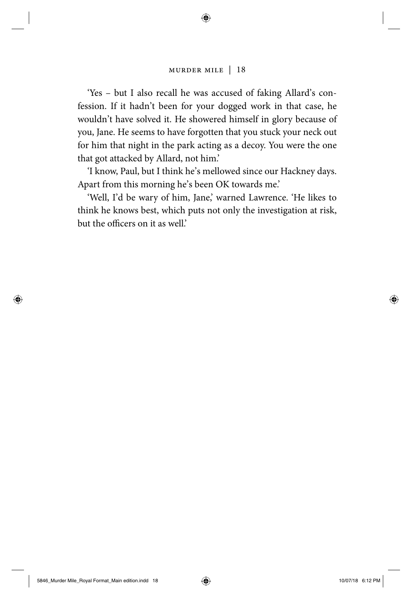'Yes – but I also recall he was accused of faking Allard's confession. If it hadn't been for your dogged work in that case, he wouldn't have solved it. He showered himself in glory because of you, Jane. He seems to have forgotten that you stuck your neck out for him that night in the park acting as a decoy. You were the one that got attacked by Allard, not him.'

'I know, Paul, but I think he's mellowed since our Hackney days. Apart from this morning he's been OK towards me.'

'Well, I'd be wary of him, Jane,' warned Lawrence. 'He likes to think he knows best, which puts not only the investigation at risk, but the officers on it as well.'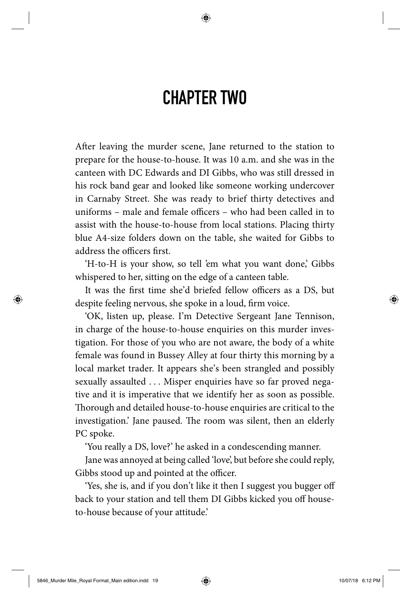## CHAPTER TWO

After leaving the murder scene, Jane returned to the station to prepare for the house-to-house. It was 10 a.m. and she was in the canteen with DC Edwards and DI Gibbs, who was still dressed in his rock band gear and looked like someone working undercover in Carnaby Street. She was ready to brief thirty detectives and uniforms – male and female officers – who had been called in to assist with the house-to-house from local stations. Placing thirty blue A4-size folders down on the table, she waited for Gibbs to address the officers first.

'H-to-H is your show, so tell 'em what you want done,' Gibbs whispered to her, sitting on the edge of a canteen table.

It was the first time she'd briefed fellow officers as a DS, but despite feeling nervous, she spoke in a loud, firm voice.

'OK, listen up, please. I'm Detective Sergeant Jane Tennison, in charge of the house-to-house enquiries on this murder investigation. For those of you who are not aware, the body of a white female was found in Bussey Alley at four thirty this morning by a local market trader. It appears she's been strangled and possibly sexually assaulted . . . Misper enquiries have so far proved negative and it is imperative that we identify her as soon as possible. Thorough and detailed house-to-house enquiries are critical to the investigation.' Jane paused. The room was silent, then an elderly PC spoke.

'You really a DS, love?' he asked in a condescending manner.

Jane was annoyed at being called 'love', but before she could reply, Gibbs stood up and pointed at the officer.

'Yes, she is, and if you don't like it then I suggest you bugger off back to your station and tell them DI Gibbs kicked you off houseto-house because of your attitude.'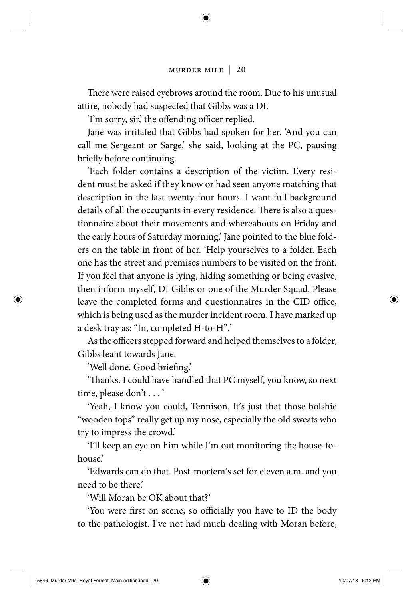There were raised eyebrows around the room. Due to his unusual attire, nobody had suspected that Gibbs was a DI.

'I'm sorry, sir,' the offending officer replied.

Jane was irritated that Gibbs had spoken for her. 'And you can call me Sergeant or Sarge,' she said, looking at the PC, pausing briefly before continuing.

'Each folder contains a description of the victim. Every resident must be asked if they know or had seen anyone matching that description in the last twenty-four hours. I want full background details of all the occupants in every residence. There is also a questionnaire about their movements and whereabouts on Friday and the early hours of Saturday morning.' Jane pointed to the blue folders on the table in front of her. 'Help yourselves to a folder. Each one has the street and premises numbers to be visited on the front. If you feel that anyone is lying, hiding something or being evasive, then inform myself, DI Gibbs or one of the Murder Squad. Please leave the completed forms and questionnaires in the CID office, which is being used as the murder incident room. I have marked up a desk tray as: "In, completed H-to-H".'

As the officers stepped forward and helped themselves to a folder, Gibbs leant towards Jane.

'Well done. Good briefing.'

'Thanks. I could have handled that PC myself, you know, so next time, please don't . . . '

'Yeah, I know you could, Tennison. It's just that those bolshie "wooden tops" really get up my nose, especially the old sweats who try to impress the crowd.'

'I'll keep an eye on him while I'm out monitoring the house-tohouse.'

'Edwards can do that. Post-mortem's set for eleven a.m. and you need to be there.'

'Will Moran be OK about that?'

'You were first on scene, so officially you have to ID the body to the pathologist. I've not had much dealing with Moran before,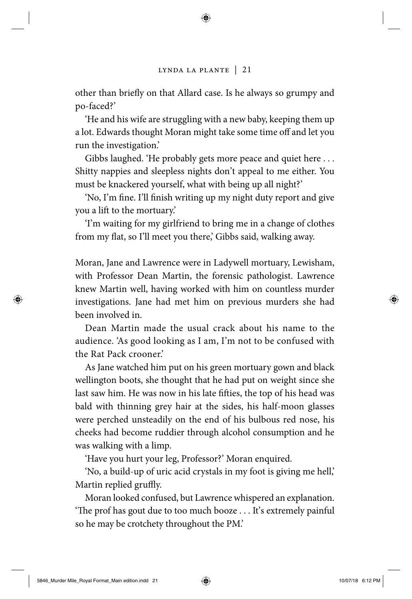other than briefly on that Allard case. Is he always so grumpy and po-faced?'

'He and his wife are struggling with a new baby, keeping them up a lot. Edwards thought Moran might take some time off and let you run the investigation.'

Gibbs laughed. 'He probably gets more peace and quiet here . . . Shitty nappies and sleepless nights don't appeal to me either. You must be knackered yourself, what with being up all night?'

'No, I'm fine. I'll finish writing up my night duty report and give you a lift to the mortuary.'

'I'm waiting for my girlfriend to bring me in a change of clothes from my flat, so I'll meet you there,' Gibbs said, walking away.

Moran, Jane and Lawrence were in Ladywell mortuary, Lewisham, with Professor Dean Martin, the forensic pathologist. Lawrence knew Martin well, having worked with him on countless murder investigations. Jane had met him on previous murders she had been involved in.

Dean Martin made the usual crack about his name to the audience. 'As good looking as I am, I'm not to be confused with the Rat Pack crooner.'

As Jane watched him put on his green mortuary gown and black wellington boots, she thought that he had put on weight since she last saw him. He was now in his late fifties, the top of his head was bald with thinning grey hair at the sides, his half-moon glasses were perched unsteadily on the end of his bulbous red nose, his cheeks had become ruddier through alcohol consumption and he was walking with a limp.

'Have you hurt your leg, Professor?' Moran enquired.

'No, a build-up of uric acid crystals in my foot is giving me hell,' Martin replied gruffly.

Moran looked confused, but Lawrence whispered an explanation. 'The prof has gout due to too much booze . . . It's extremely painful so he may be crotchety throughout the PM.'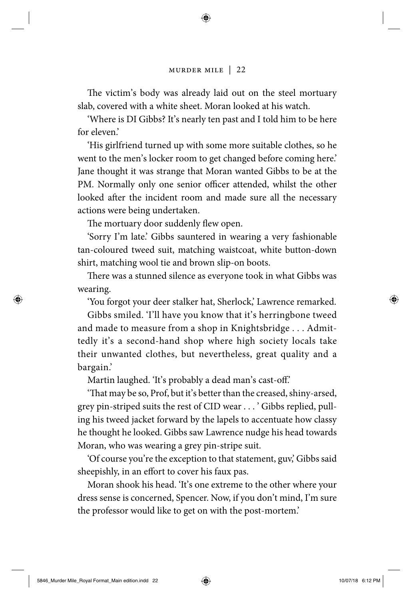The victim's body was already laid out on the steel mortuary slab, covered with a white sheet. Moran looked at his watch.

'Where is DI Gibbs? It's nearly ten past and I told him to be here for eleven.'

'His girlfriend turned up with some more suitable clothes, so he went to the men's locker room to get changed before coming here.' Jane thought it was strange that Moran wanted Gibbs to be at the PM. Normally only one senior officer attended, whilst the other looked after the incident room and made sure all the necessary actions were being undertaken.

The mortuary door suddenly flew open.

'Sorry I'm late.' Gibbs sauntered in wearing a very fashionable tan-coloured tweed suit, matching waistcoat, white button-down shirt, matching wool tie and brown slip-on boots.

There was a stunned silence as everyone took in what Gibbs was wearing.

'You forgot your deer stalker hat, Sherlock,' Lawrence remarked.

Gibbs smiled. 'I'll have you know that it's herringbone tweed and made to measure from a shop in Knightsbridge . . . Admittedly it's a second-hand shop where high society locals take their unwanted clothes, but nevertheless, great quality and a bargain.'

Martin laughed. 'It's probably a dead man's cast-off.'

'That may be so, Prof, but it's better than the creased, shiny-arsed, grey pin-striped suits the rest of CID wear . . . ' Gibbs replied, pulling his tweed jacket forward by the lapels to accentuate how classy he thought he looked. Gibbs saw Lawrence nudge his head towards Moran, who was wearing a grey pin-stripe suit.

'Of course you're the exception to that statement, guv,' Gibbs said sheepishly, in an effort to cover his faux pas.

Moran shook his head. 'It's one extreme to the other where your dress sense is concerned, Spencer. Now, if you don't mind, I'm sure the professor would like to get on with the post-mortem.'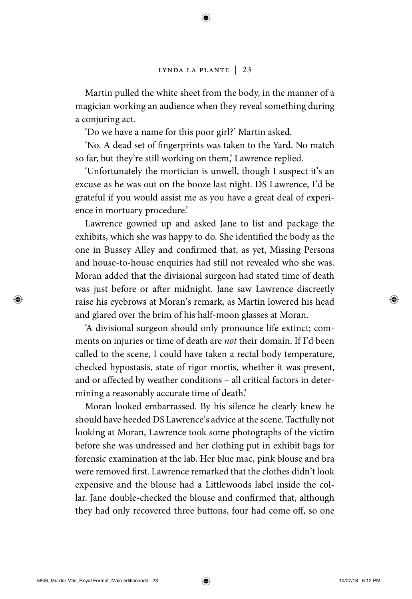Martin pulled the white sheet from the body, in the manner of a magician working an audience when they reveal something during a conjuring act.

'Do we have a name for this poor girl?' Martin asked.

'No. A dead set of fingerprints was taken to the Yard. No match so far, but they're still working on them,' Lawrence replied.

'Unfortunately the mortician is unwell, though I suspect it's an excuse as he was out on the booze last night. DS Lawrence, I'd be grateful if you would assist me as you have a great deal of experience in mortuary procedure.'

Lawrence gowned up and asked Jane to list and package the exhibits, which she was happy to do. She identified the body as the one in Bussey Alley and confirmed that, as yet, Missing Persons and house-to-house enquiries had still not revealed who she was. Moran added that the divisional surgeon had stated time of death was just before or after midnight. Jane saw Lawrence discreetly raise his eyebrows at Moran's remark, as Martin lowered his head and glared over the brim of his half-moon glasses at Moran.

'A divisional surgeon should only pronounce life extinct; comments on injuries or time of death are *not* their domain. If I'd been called to the scene, I could have taken a rectal body temperature, checked hypostasis, state of rigor mortis, whether it was present, and or affected by weather conditions - all critical factors in determining a reasonably accurate time of death.'

Moran looked embarrassed. By his silence he clearly knew he should have heeded DS Lawrence's advice at the scene. Tactfully not looking at Moran, Lawrence took some photographs of the victim before she was undressed and her clothing put in exhibit bags for forensic examination at the lab. Her blue mac, pink blouse and bra were removed first. Lawrence remarked that the clothes didn't look expensive and the blouse had a Littlewoods label inside the collar. Jane double-checked the blouse and confirmed that, although they had only recovered three buttons, four had come off, so one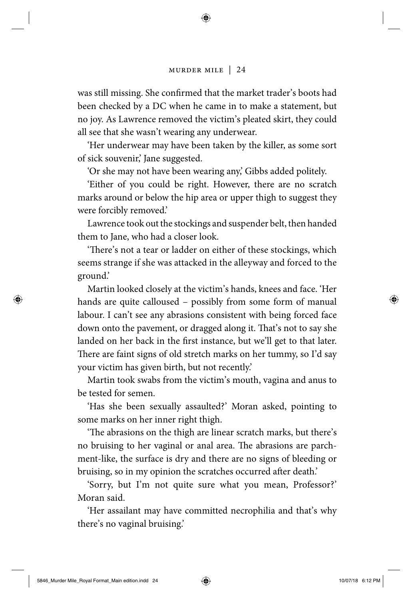was still missing. She confirmed that the market trader's boots had been checked by a DC when he came in to make a statement, but no joy. As Lawrence removed the victim's pleated skirt, they could all see that she wasn't wearing any underwear.

'Her underwear may have been taken by the killer, as some sort of sick souvenir,' Jane suggested.

'Or she may not have been wearing any,' Gibbs added politely.

'Either of you could be right. However, there are no scratch marks around or below the hip area or upper thigh to suggest they were forcibly removed.'

Lawrence took out the stockings and suspender belt, then handed them to Jane, who had a closer look.

'There's not a tear or ladder on either of these stockings, which seems strange if she was attacked in the alleyway and forced to the ground.'

Martin looked closely at the victim's hands, knees and face. 'Her hands are quite calloused – possibly from some form of manual labour. I can't see any abrasions consistent with being forced face down onto the pavement, or dragged along it. That's not to say she landed on her back in the first instance, but we'll get to that later. There are faint signs of old stretch marks on her tummy, so I'd say your victim has given birth, but not recently.'

Martin took swabs from the victim's mouth, vagina and anus to be tested for semen.

'Has she been sexually assaulted?' Moran asked, pointing to some marks on her inner right thigh.

'The abrasions on the thigh are linear scratch marks, but there's no bruising to her vaginal or anal area. The abrasions are parchment-like, the surface is dry and there are no signs of bleeding or bruising, so in my opinion the scratches occurred after death.'

'Sorry, but I'm not quite sure what you mean, Professor?' Moran said.

' Her assailant may have committed necrophilia and that's why there's no vaginal bruising.'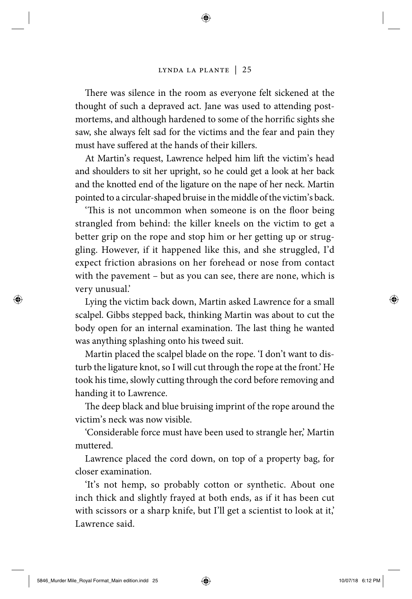There was silence in the room as everyone felt sickened at the thought of such a depraved act. Jane was used to attending postmortems, and although hardened to some of the horrific sights she saw, she always felt sad for the victims and the fear and pain they must have suffered at the hands of their killers.

At Martin's request, Lawrence helped him lift the victim's head and shoulders to sit her upright, so he could get a look at her back and the knotted end of the ligature on the nape of her neck. Martin pointed to a circular-shaped bruise in the middle of the victim's back.

'This is not uncommon when someone is on the floor being strangled from behind: the killer kneels on the victim to get a better grip on the rope and stop him or her getting up or struggling. However, if it happened like this, and she struggled, I'd expect friction abrasions on her forehead or nose from contact with the pavement – but as you can see, there are none, which is very unusual.'

Lying the victim back down, Martin asked Lawrence for a small scalpel. Gibbs stepped back, thinking Martin was about to cut the body open for an internal examination. The last thing he wanted was anything splashing onto his tweed suit.

Martin placed the scalpel blade on the rope. 'I don't want to disturb the ligature knot, so I will cut through the rope at the front.' He took his time, slowly cutting through the cord before removing and handing it to Lawrence.

The deep black and blue bruising imprint of the rope around the victim's neck was now visible.

'Considerable force must have been used to strangle her,' Martin muttered.

Lawrence placed the cord down, on top of a property bag, for closer examination.

'It's not hemp, so probably cotton or synthetic. About one inch thick and slightly frayed at both ends, as if it has been cut with scissors or a sharp knife, but I'll get a scientist to look at it, Lawrence said.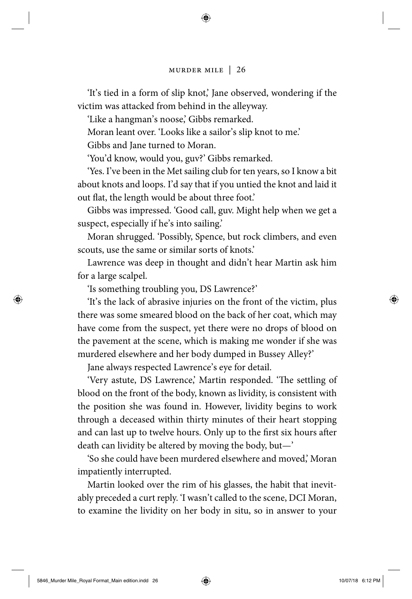'It's tied in a form of slip knot,' Jane observed, wondering if the victim was attacked from behind in the alleyway.

'Like a hangman's noose,' Gibbs remarked.

Moran leant over. 'Looks like a sailor's slip knot to me.'

Gibbs and Jane turned to Moran.

'You'd know, would you, guv?' Gibbs remarked.

'Yes. I've been in the Met sailing club for ten years, so I know a bit about knots and loops. I'd say that if you untied the knot and laid it out flat, the length would be about three foot.'

Gibbs was impressed. 'Good call, guv. Might help when we get a suspect, especially if he's into sailing.'

Moran shrugged. 'Possibly, Spence, but rock climbers, and even scouts, use the same or similar sorts of knots.'

Lawrence was deep in thought and didn't hear Martin ask him for a large scalpel.

'Is something troubling you, DS Lawrence?'

'It's the lack of abrasive injuries on the front of the victim, plus there was some smeared blood on the back of her coat, which may have come from the suspect, yet there were no drops of blood on the pavement at the scene, which is making me wonder if she was murdered elsewhere and her body dumped in Bussey Alley?'

Jane always respected Lawrence's eye for detail.

'Very astute, DS Lawrence,' Martin responded. 'The settling of blood on the front of the body, known as lividity, is consistent with the position she was found in. However, lividity begins to work through a deceased within thirty minutes of their heart stopping and can last up to twelve hours. Only up to the first six hours after death can lividity be altered by moving the body, but—'

'So she could have been murdered elsewhere and moved,' Moran impatiently interrupted.

Martin looked over the rim of his glasses, the habit that inevitably preceded a curt reply. 'I wasn't called to the scene, DCI Moran, to examine the lividity on her body in situ, so in answer to your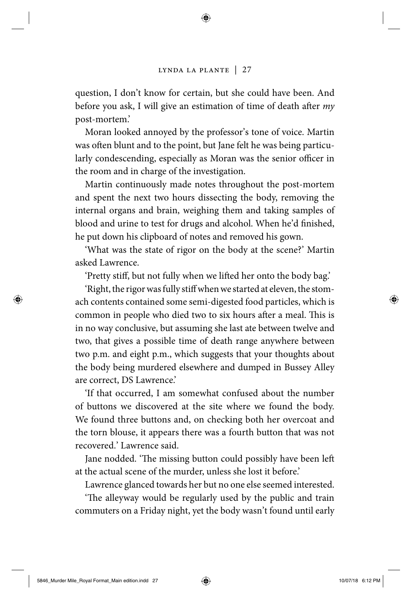question, I don't know for certain, but she could have been. And before you ask, I will give an estimation of time of death after *my* post-mortem.'

Moran looked annoyed by the professor's tone of voice. Martin was often blunt and to the point, but Jane felt he was being particularly condescending, especially as Moran was the senior officer in the room and in charge of the investigation.

Martin continuously made notes throughout the post-mortem and spent the next two hours dissecting the body, removing the internal organs and brain, weighing them and taking samples of blood and urine to test for drugs and alcohol. When he'd finished, he put down his clipboard of notes and removed his gown.

'What was the state of rigor on the body at the scene?' Martin asked Lawrence.

'Pretty stiff, but not fully when we lifted her onto the body bag.'

'Right, the rigor was fully stiff when we started at eleven, the stomach contents contained some semi-digested food particles, which is common in people who died two to six hours after a meal. This is in no way conclusive, but assuming she last ate between twelve and two, that gives a possible time of death range anywhere between two p.m. and eight p.m., which suggests that your thoughts about the body being murdered elsewhere and dumped in Bussey Alley are correct, DS Lawrence.'

'If that occurred, I am somewhat confused about the number of buttons we discovered at the site where we found the body. We found three buttons and, on checking both her overcoat and the torn blouse, it appears there was a fourth button that was not recovered.' Lawrence said.

Jane nodded. 'The missing button could possibly have been left at the actual scene of the murder, unless she lost it before.'

Lawrence glanced towards her but no one else seemed interested.

'The alleyway would be regularly used by the public and train commuters on a Friday night, yet the body wasn't found until early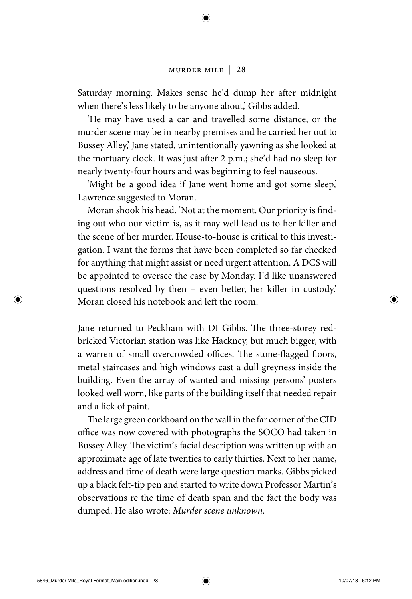Saturday morning. Makes sense he'd dump her after midnight when there's less likely to be anyone about,' Gibbs added.

'He may have used a car and travelled some distance, or the murder scene may be in nearby premises and he carried her out to Bussey Alley,' Jane stated, unintentionally yawning as she looked at the mortuary clock. It was just after 2 p.m.; she'd had no sleep for nearly twenty-four hours and was beginning to feel nauseous.

'Might be a good idea if Jane went home and got some sleep,' Lawrence suggested to Moran.

Moran shook his head. 'Not at the moment. Our priority is finding out who our victim is, as it may well lead us to her killer and the scene of her murder. House-to-house is critical to this investigation. I want the forms that have been completed so far checked for anything that might assist or need urgent attention. A DCS will be appointed to oversee the case by Monday. I'd like unanswered questions resolved by then – even better, her killer in custody.' Moran closed his notebook and left the room.

Jane returned to Peckham with DI Gibbs. The three-storey redbricked Victorian station was like Hackney, but much bigger, with a warren of small overcrowded offices. The stone-flagged floors, metal staircases and high windows cast a dull greyness inside the building. Even the array of wanted and missing persons' posters looked well worn, like parts of the building itself that needed repair and a lick of paint.

The large green corkboard on the wall in the far corner of the CID office was now covered with photographs the SOCO had taken in Bussey Alley. The victim's facial description was written up with an approximate age of late twenties to early thirties. Next to her name, address and time of death were large question marks. Gibbs picked up a black felt-tip pen and started to write down Professor Martin's observations re the time of death span and the fact the body was dumped. He also wrote: *Murder scene unknown*.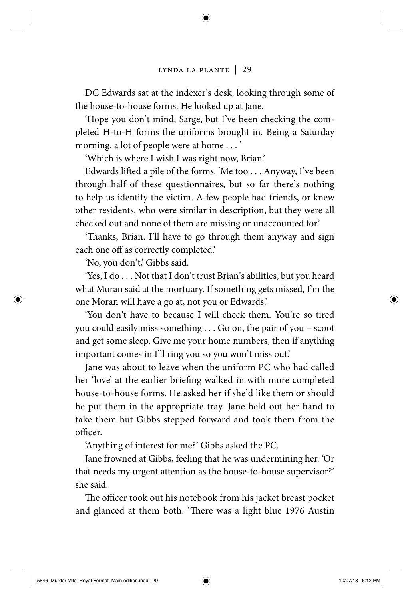DC Edwards sat at the indexer's desk, looking through some of the house-to-house forms. He looked up at Jane.

'Hope you don't mind, Sarge, but I've been checking the completed H-to-H forms the uniforms brought in. Being a Saturday morning, a lot of people were at home . . . '

'Which is where I wish I was right now, Brian.'

Edwards lifted a pile of the forms. 'Me too . . . Anyway, I've been through half of these questionnaires, but so far there's nothing to help us identify the victim. A few people had friends, or knew other residents, who were similar in description, but they were all checked out and none of them are missing or unaccounted for.'

'Thanks, Brian. I'll have to go through them anyway and sign each one off as correctly completed.'

'No, you don't,' Gibbs said.

'Yes, I do . . . Not that I don't trust Brian's abilities, but you heard what Moran said at the mortuary. If something gets missed, I'm the one Moran will have a go at, not you or Edwards.'

'You don't have to because I will check them. You're so tired you could easily miss something . . . Go on, the pair of you – scoot and get some sleep. Give me your home numbers, then if anything important comes in I'll ring you so you won't miss out.'

Jane was about to leave when the uniform PC who had called her 'love' at the earlier briefing walked in with more completed house-to-house forms. He asked her if she'd like them or should he put them in the appropriate tray. Jane held out her hand to take them but Gibbs stepped forward and took them from the officer.

'Anything of interest for me?' Gibbs asked the PC.

Jane frowned at Gibbs, feeling that he was undermining her. 'Or that needs my urgent attention as the house-to-house supervisor?' she said.

The officer took out his notebook from his jacket breast pocket and glanced at them both. 'There was a light blue 1976 Austin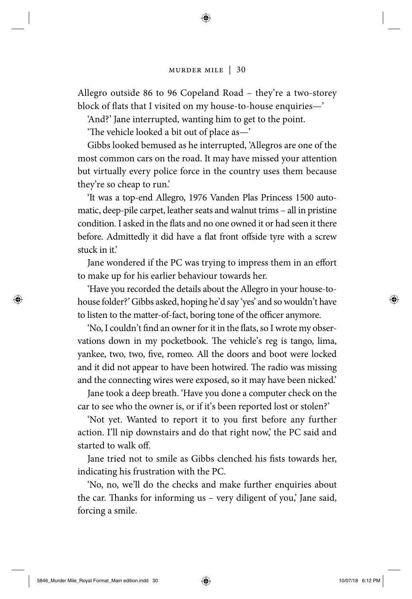Allegro outside 86 to 96 Copeland Road – they're a two-storey block of flats that I visited on my house-to-house enquiries—'

'And?' Jane interrupted, wanting him to get to the point.

'The vehicle looked a bit out of place as-'

Gibbs looked bemused as he interrupted, 'Allegros are one of the most common cars on the road. It may have missed your attention but virtually every police force in the country uses them because they're so cheap to run.'

'It was a top-end Allegro, 1976 Vanden Plas Princess 1500 automatic, deep-pile carpet, leather seats and walnut trims – all in pristine condition. I asked in the flats and no one owned it or had seen it there before. Admittedly it did have a flat front offside tyre with a screw stuck in it.'

Jane wondered if the PC was trying to impress them in an effort to make up for his earlier behaviour towards her.

'Have you recorded the details about the Allegro in your house-tohouse folder?' Gibbs asked, hoping he'd say 'yes' and so wouldn't have to listen to the matter-of-fact, boring tone of the officer anymore.

'No, I couldn't find an owner for it in the flats, so I wrote my observations down in my pocketbook. The vehicle's reg is tango, lima, yankee, two, two, five, romeo. All the doors and boot were locked and it did not appear to have been hotwired. The radio was missing and the connecting wires were exposed, so it may have been nicked.'

Jane took a deep breath. 'Have you done a computer check on the car to see who the owner is, or if it's been reported lost or stolen?'

'Not yet. Wanted to report it to you first before any further action. I'll nip downstairs and do that right now,' the PC said and started to walk off.

Jane tried not to smile as Gibbs clenched his fists towards her, indicating his frustration with the PC.

'No, no, we'll do the checks and make further enquiries about the car. Thanks for informing us – very diligent of you,' Jane said, forcing a smile.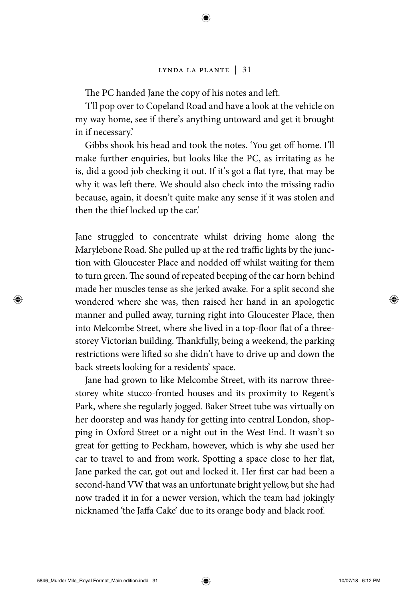The PC handed Jane the copy of his notes and left.

'I'll pop over to Copeland Road and have a look at the vehicle on my way home, see if there's anything untoward and get it brought in if necessary.'

Gibbs shook his head and took the notes. 'You get off home. I'll make further enquiries, but looks like the PC, as irritating as he is, did a good job checking it out. If it's got a flat tyre, that may be why it was left there. We should also check into the missing radio because, again, it doesn't quite make any sense if it was stolen and then the thief locked up the car.'

Jane struggled to concentrate whilst driving home along the Marylebone Road. She pulled up at the red traffic lights by the junction with Gloucester Place and nodded off whilst waiting for them to turn green. The sound of repeated beeping of the car horn behind made her muscles tense as she jerked awake. For a split second she wondered where she was, then raised her hand in an apologetic manner and pulled away, turning right into Gloucester Place, then into Melcombe Street, where she lived in a top-floor flat of a threestorey Victorian building. Thankfully, being a weekend, the parking restrictions were lifted so she didn't have to drive up and down the back streets looking for a residents' space.

Jane had grown to like Melcombe Street, with its narrow threestorey white stucco-fronted houses and its proximity to Regent's Park, where she regularly jogged. Baker Street tube was virtually on her doorstep and was handy for getting into central London, shopping in Oxford Street or a night out in the West End. It wasn't so great for getting to Peckham, however, which is why she used her car to travel to and from work. Spotting a space close to her flat, Jane parked the car, got out and locked it. Her first car had been a second-hand VW that was an unfortunate bright yellow, but she had now traded it in for a newer version, which the team had jokingly nicknamed 'the Jaffa Cake' due to its orange body and black roof.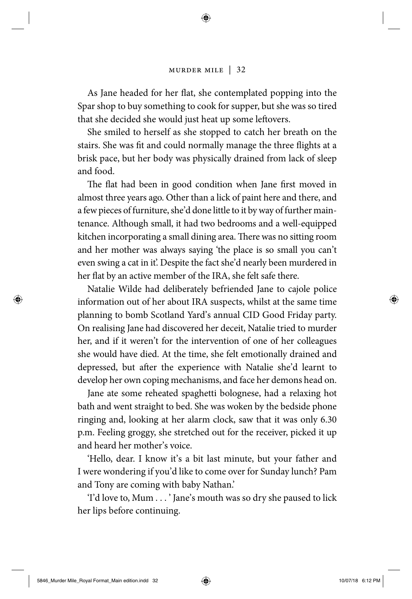As Jane headed for her flat, she contemplated popping into the Spar shop to buy something to cook for supper, but she was so tired that she decided she would just heat up some leftovers.

She smiled to herself as she stopped to catch her breath on the stairs. She was fit and could normally manage the three flights at a brisk pace, but her body was physically drained from lack of sleep and food.

The flat had been in good condition when Jane first moved in almost three years ago. Other than a lick of paint here and there, and a few pieces of furniture, she'd done little to it by way of further maintenance. Although small, it had two bedrooms and a well-equipped kitchen incorporating a small dining area. There was no sitting room and her mother was always saying 'the place is so small you can't even swing a cat in it'. Despite the fact she'd nearly been murdered in her flat by an active member of the IRA, she felt safe there.

Natalie Wilde had deliberately befriended Jane to cajole police information out of her about IRA suspects, whilst at the same time planning to bomb Scotland Yard's annual CID Good Friday party. On realising Jane had discovered her deceit, Natalie tried to murder her, and if it weren't for the intervention of one of her colleagues she would have died. At the time, she felt emotionally drained and depressed, but after the experience with Natalie she'd learnt to develop her own coping mechanisms, and face her demons head on.

Jane ate some reheated spaghetti bolognese, had a relaxing hot bath and went straight to bed. She was woken by the bedside phone ringing and, looking at her alarm clock, saw that it was only 6.30 p.m. Feeling groggy, she stretched out for the receiver, picked it up and heard her mother's voice.

'Hello, dear. I know it's a bit last minute, but your father and I were wondering if you'd like to come over for Sunday lunch? Pam and Tony are coming with baby Nathan.'

'I'd love to, Mum . . . ' Jane's mouth was so dry she paused to lick her lips before continuing.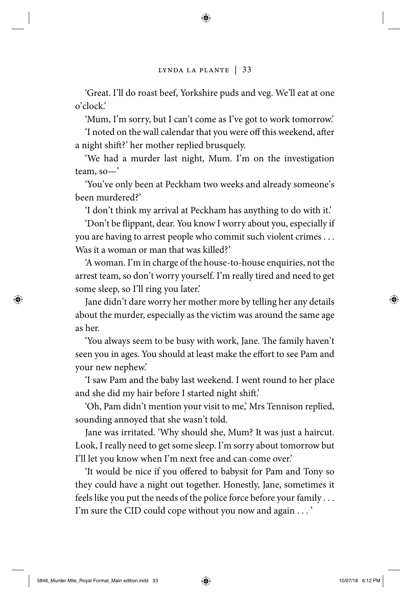'Great. I'll do roast beef, Yorkshire puds and veg. We'll eat at one o'clock.'

'Mum, I'm sorry, but I can't come as I've got to work tomorrow.'

'I noted on the wall calendar that you were off this weekend, after a night shift?' her mother replied brusquely.

'We had a murder last night, Mum. I'm on the investigation team, so—'

'You've only been at Peckham two weeks and already someone's been murdered?'

'I don't think my arrival at Peckham has anything to do with it.'

'Don't be flippant, dear. You know I worry about you, especially if you are having to arrest people who commit such violent crimes . . . Was it a woman or man that was killed?'

'A woman. I'm in charge of the house-to-house enquiries, not the arrest team, so don't worry yourself. I'm really tired and need to get some sleep, so I'll ring you later.'

Jane didn't dare worry her mother more by telling her any details about the murder, especially as the victim was around the same age as her.

'You always seem to be busy with work, Jane. The family haven't seen you in ages. You should at least make the effort to see Pam and your new nephew.'

'I saw Pam and the baby last weekend. I went round to her place and she did my hair before I started night shift.'

'Oh, Pam didn't mention your visit to me,' Mrs Tennison replied, sounding annoyed that she wasn't told.

Jane was irritated. 'Why should she, Mum? It was just a haircut. Look, I really need to get some sleep. I'm sorry about tomorrow but I'll let you know when I'm next free and can come over.'

'It would be nice if you offered to babysit for Pam and Tony so they could have a night out together. Honestly, Jane, sometimes it feels like you put the needs of the police force before your family . . . I'm sure the CID could cope without you now and again . . . '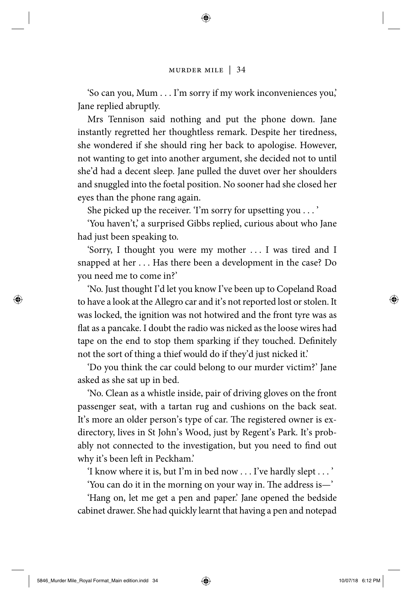'So can you, Mum . . . I'm sorry if my work inconveniences you,' Jane replied abruptly.

Mrs Tennison said nothing and put the phone down. Jane instantly regretted her thoughtless remark. Despite her tiredness, she wondered if she should ring her back to apologise. However, not wanting to get into another argument, she decided not to until she'd had a decent sleep. Jane pulled the duvet over her shoulders and snuggled into the foetal position. No sooner had she closed her eyes than the phone rang again.

She picked up the receiver. 'I'm sorry for upsetting you . . . '

'You haven't,' a surprised Gibbs replied, curious about who Jane had just been speaking to.

'Sorry, I thought you were my mother . . . I was tired and I snapped at her . . . Has there been a development in the case? Do you need me to come in?'

'No. Just thought I'd let you know I've been up to Copeland Road to have a look at the Allegro car and it's not reported lost or stolen. It was locked, the ignition was not hotwired and the front tyre was as flat as a pancake. I doubt the radio was nicked as the loose wires had tape on the end to stop them sparking if they touched. Definitely not the sort of thing a thief would do if they'd just nicked it.'

'Do you think the car could belong to our murder victim?' Jane asked as she sat up in bed.

'No. Clean as a whistle inside, pair of driving gloves on the front passenger seat, with a tartan rug and cushions on the back seat. It's more an older person's type of car. The registered owner is exdirectory, lives in St John's Wood, just by Regent's Park. It's probably not connected to the investigation, but you need to find out why it's been left in Peckham.'

'I know where it is, but I'm in bed now . . . I've hardly slept . . . '

'You can do it in the morning on your way in. The address is-'

'Hang on, let me get a pen and paper.' Jane opened the bedside cabinet drawer. She had quickly learnt that having a pen and notepad